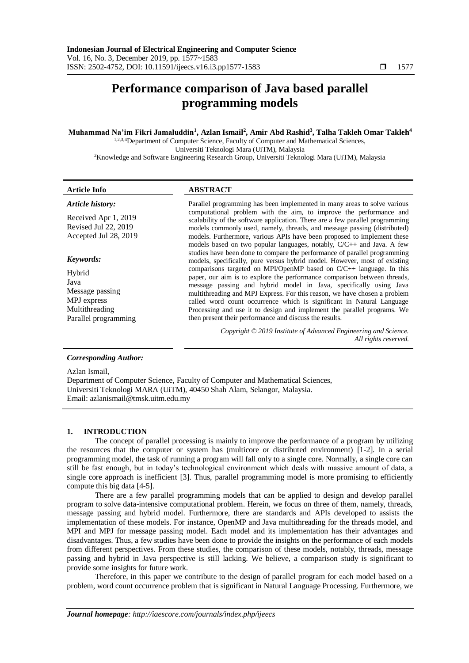# **Performance comparison of Java based parallel programming models**

# **Muhammad Na'im Fikri Jamaluddin<sup>1</sup> , Azlan Ismail<sup>2</sup> , Amir Abd Rashid<sup>3</sup> , Talha Takleh Omar Takleh<sup>4</sup>**

1,2,3,4Department of Computer Science, Faculty of Computer and Mathematical Sciences, Universiti Teknologi Mara (UiTM), Malaysia

<sup>2</sup>Knowledge and Software Engineering Research Group, Universiti Teknologi Mara (UiTM), Malaysia

# **Article Info ABSTRACT**

*Article history:*

Received Apr 1, 2019 Revised Jul 22, 2019 Accepted Jul 28, 2019

# *Keywords:*

Hybrid Java Message passing MPJ express Multithreading Parallel programming

Parallel programming has been implemented in many areas to solve various computational problem with the aim, to improve the performance and scalability of the software application. There are a few parallel programming models commonly used, namely, threads, and message passing (distributed) models. Furthermore, various APIs have been proposed to implement these models based on two popular languages, notably, C/C++ and Java. A few studies have been done to compare the performance of parallel programming models, specifically, pure versus hybrid model. However, most of existing comparisons targeted on MPI/OpenMP based on C/C++ language. In this paper, our aim is to explore the performance comparison between threads, message passing and hybrid model in Java, specifically using Java multithreading and MPJ Express. For this reason, we have chosen a problem called word count occurrence which is significant in Natural Language Processing and use it to design and implement the parallel programs. We then present their performance and discuss the results.

> *Copyright © 2019 Institute of Advanced Engineering and Science. All rights reserved.*

# *Corresponding Author:*

Azlan Ismail,

Department of Computer Science, Faculty of Computer and Mathematical Sciences, Universiti Teknologi MARA (UiTM), 40450 Shah Alam, Selangor, Malaysia. Email: azlanismail@tmsk.uitm.edu.my

### **1. INTRODUCTION**

The concept of parallel processing is mainly to improve the performance of a program by utilizing the resources that the computer or system has (multicore or distributed environment) [1-2]. In a serial programming model, the task of running a program will fall only to a single core. Normally, a single core can still be fast enough, but in today's technological environment which deals with massive amount of data, a single core approach is inefficient [3]. Thus, parallel programming model is more promising to efficiently compute this big data [4-5].

There are a few parallel programming models that can be applied to design and develop parallel program to solve data-intensive computational problem. Herein, we focus on three of them, namely, threads, message passing and hybrid model. Furthermore, there are standards and APIs developed to assists the implementation of these models. For instance, OpenMP and Java multithreading for the threads model, and MPI and MPJ for message passing model. Each model and its implementation has their advantages and disadvantages. Thus, a few studies have been done to provide the insights on the performance of each models from different perspectives. From these studies, the comparison of these models, notably, threads, message passing and hybrid in Java perspective is still lacking. We believe, a comparison study is significant to provide some insights for future work.

Therefore, in this paper we contribute to the design of parallel program for each model based on a problem, word count occurrence problem that is significant in Natural Language Processing. Furthermore, we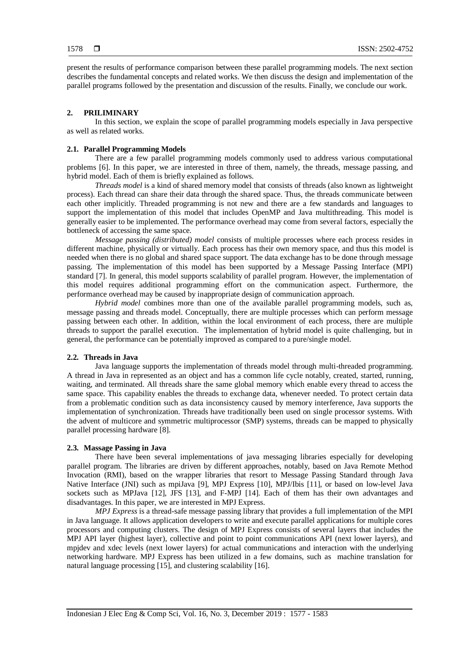present the results of performance comparison between these parallel programming models. The next section describes the fundamental concepts and related works. We then discuss the design and implementation of the parallel programs followed by the presentation and discussion of the results. Finally, we conclude our work.

#### **2. PRILIMINARY**

In this section, we explain the scope of parallel programming models especially in Java perspective as well as related works.

#### **2.1. Parallel Programming Models**

There are a few parallel programming models commonly used to address various computational problems [6]. In this paper, we are interested in three of them, namely, the threads, message passing, and hybrid model. Each of them is briefly explained as follows.

*Threads model* is a kind of shared memory model that consists of threads (also known as lightweight process). Each thread can share their data through the shared space. Thus, the threads communicate between each other implicitly. Threaded programming is not new and there are a few standards and languages to support the implementation of this model that includes OpenMP and Java multithreading. This model is generally easier to be implemented. The performance overhead may come from several factors, especially the bottleneck of accessing the same space.

*Message passing (distributed) model* consists of multiple processes where each process resides in different machine, physically or virtually. Each process has their own memory space, and thus this model is needed when there is no global and shared space support. The data exchange has to be done through message passing. The implementation of this model has been supported by a Message Passing Interface (MPI) standard [7]. In general, this model supports scalability of parallel program. However, the implementation of this model requires additional programming effort on the communication aspect. Furthermore, the performance overhead may be caused by inappropriate design of communication approach.

*Hybrid model* combines more than one of the available parallel programming models, such as, message passing and threads model. Conceptually, there are multiple processes which can perform message passing between each other. In addition, within the local environment of each process, there are multiple threads to support the parallel execution. The implementation of hybrid model is quite challenging, but in general, the performance can be potentially improved as compared to a pure/single model.

#### **2.2. Threads in Java**

Java language supports the implementation of threads model through multi-threaded programming. A thread in Java in represented as an object and has a common life cycle notably, created, started, running, waiting, and terminated. All threads share the same global memory which enable every thread to access the same space. This capability enables the threads to exchange data, whenever needed. To protect certain data from a problematic condition such as data inconsistency caused by memory interference, Java supports the implementation of synchronization. Threads have traditionally been used on single processor systems. With the advent of multicore and symmetric multiprocessor (SMP) systems, threads can be mapped to physically parallel processing hardware [8].

#### **2.3. Massage Passing in Java**

There have been several implementations of java messaging libraries especially for developing parallel program. The libraries are driven by different approaches, notably, based on Java Remote Method Invocation (RMI), based on the wrapper libraries that resort to Message Passing Standard through Java Native Interface (JNI) such as mpiJava [9], MPJ Express [10], MPJ/Ibis [11], or based on low-level Java sockets such as MPJava [12], JFS [13], and F-MPJ [14]. Each of them has their own advantages and disadvantages. In this paper, we are interested in MPJ Express.

*MPJ Express* is a thread-safe message passing library that provides a full implementation of the MPI in Java language. It allows application developers to write and execute parallel applications for multiple cores processors and computing clusters. The design of MPJ Express consists of several layers that includes the MPJ API layer (highest layer), collective and point to point communications API (next lower layers), and mpjdev and xdec levels (next lower layers) for actual communications and interaction with the underlying networking hardware. MPJ Express has been utilized in a few domains, such as machine translation for natural language processing [15], and clustering scalability [16].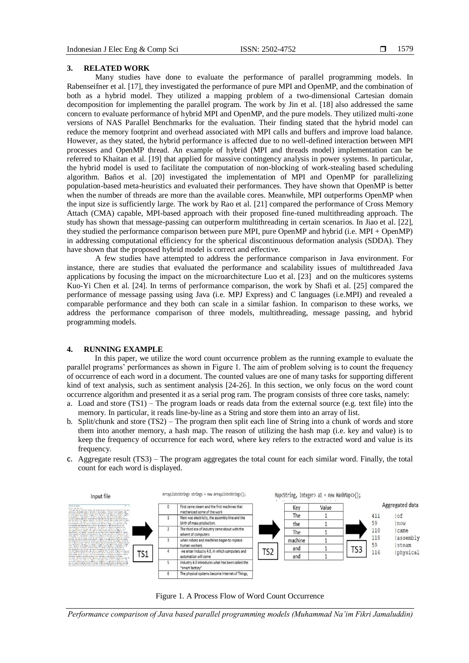#### **3. RELATED WORK**

Many studies have done to evaluate the performance of parallel programming models. In Rabenseifner et al. [17], they investigated the performance of pure MPI and OpenMP, and the combination of both as a hybrid model. They utilized a mapping problem of a two-dimensional Cartesian domain decomposition for implementing the parallel program. The work by Jin et al. [18] also addressed the same concern to evaluate performance of hybrid MPI and OpenMP, and the pure models. They utilized multi-zone versions of NAS Parallel Benchmarks for the evaluation. Their finding stated that the hybrid model can reduce the memory footprint and overhead associated with MPI calls and buffers and improve load balance. However, as they stated, the hybrid performance is affected due to no well-defined interaction between MPI processes and OpenMP thread. An example of hybrid (MPI and threads model) implementation can be referred to Khaitan et al. [19] that applied for massive contingency analysis in power systems. In particular, the hybrid model is used to facilitate the computation of non-blocking of work-stealing based scheduling algorithm. Baños et al. [20] investigated the implementation of MPI and OpenMP for parallelizing population-based meta-heuristics and evaluated their performances. They have shown that OpenMP is better when the number of threads are more than the available cores. Meanwhile, MPI outperforms OpenMP when the input size is sufficiently large. The work by Rao et al. [21] compared the performance of Cross Memory Attach (CMA) capable, MPI-based approach with their proposed fine-tuned multithreading approach. The study has shown that message-passing can outperform multithreading in certain scenarios. In Jiao et al. [22], they studied the performance comparison between pure MPI, pure OpenMP and hybrid (i.e. MPI + OpenMP) in addressing computational efficiency for the spherical discontinuous deformation analysis (SDDA). They have shown that the proposed hybrid model is correct and effective.

A few studies have attempted to address the performance comparison in Java environment. For instance, there are studies that evaluated the performance and scalability issues of multithreaded Java applications by focusing the impact on the microarchitecture Luo et al. [23] and on the multicores systems Kuo-Yi Chen et al. [24]. In terms of performance comparison, the work by Shafi et al. [25] compared the performance of message passing using Java (i.e. MPJ Express) and C languages (i.e.MPI) and revealed a comparable performance and they both can scale in a similar fashion. In comparison to these works, we address the performance comparison of three models, multithreading, message passing, and hybrid programming models.

#### **4. RUNNING EXAMPLE**

In this paper, we utilize the word count occurrence problem as the running example to evaluate the parallel programs' performances as shown in Figure 1. The aim of problem solving is to count the frequency of occurrence of each word in a document. The counted values are one of many tasks for supporting different kind of text analysis, such as sentiment analysis [24-26]. In this section, we only focus on the word count occurrence algorithm and presented it as a serial prog ram. The program consists of three core tasks, namely:

- a. Load and store (TS1) The program loads or reads data from the external source (e.g. text file) into the memory. In particular, it reads line-by-line as a String and store them into an array of list.
- b. Split/chunk and store (TS2) The program then split each line of String into a chunk of words and store them into another memory, a hash map. The reason of utilizing the hash map (i.e. key and value) is to keep the frequency of occurrence for each word, where key refers to the extracted word and value is its frequency.
- c. Aggregate result (TS3) The program aggregates the total count for each similar word. Finally, the total count for each word is displayed.





*Performance comparison of Java based parallel programming models (Muhammad Na'im Fikri Jamaluddin)*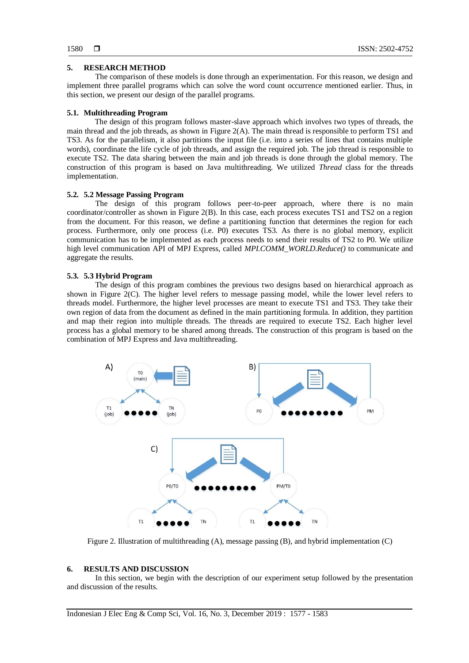# **5. RESEARCH METHOD**

The comparison of these models is done through an experimentation. For this reason, we design and implement three parallel programs which can solve the word count occurrence mentioned earlier. Thus, in this section, we present our design of the parallel programs.

# **5.1. Multithreading Program**

The design of this program follows master-slave approach which involves two types of threads, the main thread and the job threads, as shown in Figure 2(A). The main thread is responsible to perform TS1 and TS3. As for the parallelism, it also partitions the input file (i.e. into a series of lines that contains multiple words), coordinate the life cycle of job threads, and assign the required job. The job thread is responsible to execute TS2. The data sharing between the main and job threads is done through the global memory. The construction of this program is based on Java multithreading. We utilized *Thread* class for the threads implementation.

# **5.2. 5.2 Message Passing Program**

The design of this program follows peer-to-peer approach, where there is no main coordinator/controller as shown in Figure 2(B). In this case, each process executes TS1 and TS2 on a region from the document. For this reason, we define a partitioning function that determines the region for each process. Furthermore, only one process (i.e. P0) executes TS3. As there is no global memory, explicit communication has to be implemented as each process needs to send their results of TS2 to P0. We utilize high level communication API of MPJ Express, called *MPI.COMM\_WORLD.Reduce()* to communicate and aggregate the results.

# **5.3. 5.3 Hybrid Program**

The design of this program combines the previous two designs based on hierarchical approach as shown in Figure 2(C). The higher level refers to message passing model, while the lower level refers to threads model. Furthermore, the higher level processes are meant to execute TS1 and TS3. They take their own region of data from the document as defined in the main partitioning formula. In addition, they partition and map their region into multiple threads. The threads are required to execute TS2. Each higher level process has a global memory to be shared among threads. The construction of this program is based on the combination of MPJ Express and Java multithreading.



Figure 2. Illustration of multithreading (A), message passing (B), and hybrid implementation (C)

#### **6. RESULTS AND DISCUSSION**

In this section, we begin with the description of our experiment setup followed by the presentation and discussion of the results.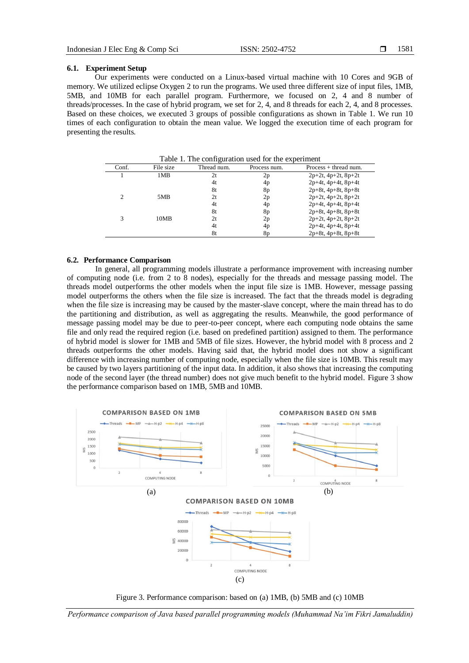### **6.1. Experiment Setup**

Our experiments were conducted on a Linux-based virtual machine with 10 Cores and 9GB of memory. We utilized eclipse Oxygen 2 to run the programs. We used three different size of input files, 1MB, 5MB, and 10MB for each parallel program. Furthermore, we focused on 2, 4 and 8 number of threads/processes. In the case of hybrid program, we set for 2, 4, and 8 threads for each 2, 4, and 8 processes. Based on these choices, we executed 3 groups of possible configurations as shown in Table 1. We run 10 times of each configuration to obtain the mean value. We logged the execution time of each program for presenting the results.

Table 1. The configuration used for the experiment Conf. File size Thread num. Process num. Process + thread num. 1 1 1MB 2t  $2p = 2p + 2t$ ,  $4p+2t$ ,  $8p+2t$ 4t 4p 2p+4t, 4p+4t, 8p+4t 8t 8p  $2p+8t$ ,  $4p+8t$ ,  $8p+8t$ <br>2t  $2p$   $2p+2t$ ,  $4p+2t$ ,  $8p+2t$ 2 5MB 2t  $2p$   $2p+2t$ ,  $4p+2t$ ,  $8p+2t$ <br> $4t$   $4p$   $2p+4t$ ,  $8p+4t$  $2p+4t$ ,  $4p+4t$ ,  $8p+4t$ 8t 8p 2p+8t, 4p+8t, 8p+8t 3 10MB 2t  $2p$   $2p+2t$ ,  $4p+2t$ ,  $8p+2t$ <br> $4t$   $4p$   $2p+4t$ ,  $8p+4t$ 4t 4p 2p+4t, 4p+4t, 8p+4t 8t 8p 2p+8t, 4p+8t, 8p+8t

#### **6.2. Performance Comparison**

In general, all programming models illustrate a performance improvement with increasing number of computing node (i.e. from 2 to 8 nodes), especially for the threads and message passing model. The threads model outperforms the other models when the input file size is 1MB. However, message passing model outperforms the others when the file size is increased. The fact that the threads model is degrading when the file size is increasing may be caused by the master-slave concept, where the main thread has to do the partitioning and distribution, as well as aggregating the results. Meanwhile, the good performance of message passing model may be due to peer-to-peer concept, where each computing node obtains the same file and only read the required region (i.e. based on predefined partition) assigned to them. The performance of hybrid model is slower for 1MB and 5MB of file sizes. However, the hybrid model with 8 process and 2 threads outperforms the other models. Having said that, the hybrid model does not show a significant difference with increasing number of computing node, especially when the file size is 10MB. This result may be caused by two layers partitioning of the input data. In addition, it also shows that increasing the computing node of the second layer (the thread number) does not give much benefit to the hybrid model. Figure 3 show the performance comparison based on 1MB, 5MB and 10MB.



Figure 3. Performance comparison: based on (a) 1MB, (b) 5MB and (c) 10MB

*Performance comparison of Java based parallel programming models (Muhammad Na'im Fikri Jamaluddin)*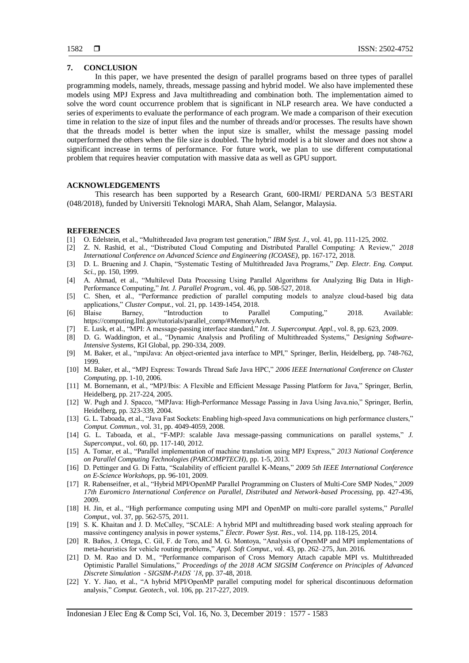# **7. CONCLUSION**

In this paper, we have presented the design of parallel programs based on three types of parallel programming models, namely, threads, message passing and hybrid model. We also have implemented these models using MPJ Express and Java multithreading and combination both. The implementation aimed to solve the word count occurrence problem that is significant in NLP research area. We have conducted a series of experiments to evaluate the performance of each program. We made a comparison of their execution time in relation to the size of input files and the number of threads and/or processes. The results have shown that the threads model is better when the input size is smaller, whilst the message passing model outperformed the others when the file size is doubled. The hybrid model is a bit slower and does not show a significant increase in terms of performance. For future work, we plan to use different computational problem that requires heavier computation with massive data as well as GPU support.

# **ACKNOWLEDGEMENTS**

This research has been supported by a Research Grant, 600-IRMI/ PERDANA 5/3 BESTARI (048/2018), funded by Universiti Teknologi MARA, Shah Alam, Selangor, Malaysia.

#### **REFERENCES**

- [1] O. Edelstein, et al., "Multithreaded Java program test generation," *IBM Syst. J.*, vol. 41, pp. 111-125, 2002.
- [2] Z. N. Rashid, et al., "Distributed Cloud Computing and Distributed Parallel Computing: A Review," *2018 International Conference on Advanced Science and Engineering (ICOASE)*, pp. 167-172, 2018.
- [3] D. L. Bruening and J. Chapin, "Systematic Testing of Multithreaded Java Programs," *Dep. Electr. Eng. Comput. Sci.*, pp. 150, 1999.
- [4] A. Ahmad, et al., "Multilevel Data Processing Using Parallel Algorithms for Analyzing Big Data in High-Performance Computing," *Int. J. Parallel Program.*, vol. 46, pp. 508-527, 2018.
- [5] C. Shen, et al., "Performance prediction of parallel computing models to analyze cloud-based big data applications," *Cluster Comput.*, vol. 21, pp. 1439-1454, 2018.
- [6] Blaise Barney, "Introduction to Parallel Computing," 2018. Available: https://computing.llnl.gov/tutorials/parallel\_comp/#MemoryArch.
- [7] E. Lusk, et al., "MPI: A message-passing interface standard," *Int. J. Supercomput. Appl.*, vol. 8, pp. 623, 2009.
- [8] D. G. Waddington, et al., "Dynamic Analysis and Profiling of Multithreaded Systems," *Designing Software-Intensive Systems*, IGI Global, pp. 290-334, 2009.
- [9] M. Baker, et al., "mpiJava: An object-oriented java interface to MPI," Springer, Berlin, Heidelberg, pp. 748-762, 1999.
- [10] M. Baker, et al., "MPJ Express: Towards Thread Safe Java HPC," *2006 IEEE International Conference on Cluster Computing*, pp. 1-10, 2006.
- [11] M. Bornemann, et al., "MPJ/Ibis: A Flexible and Efficient Message Passing Platform for Java," Springer, Berlin, Heidelberg, pp. 217-224, 2005.
- [12] W. Pugh and J. Spacco, "MPJava: High-Performance Message Passing in Java Using Java.nio," Springer, Berlin, Heidelberg, pp. 323-339, 2004.
- [13] G. L. Taboada, et al., "Java Fast Sockets: Enabling high-speed Java communications on high performance clusters," *Comput. Commun.*, vol. 31, pp. 4049-4059, 2008.
- [14] G. L. Taboada, et al., "F-MPJ: scalable Java message-passing communications on parallel systems," *J. Supercomput.*, vol. 60, pp. 117-140, 2012.
- [15] A. Tomar, et al*.*, "Parallel implementation of machine translation using MPJ Express," *2013 National Conference on Parallel Computing Technologies (PARCOMPTECH)*, pp. 1-5, 2013.
- [16] D. Pettinger and G. Di Fatta, "Scalability of efficient parallel K-Means," *2009 5th IEEE International Conference on E-Science Workshops*, pp. 96-101, 2009.
- [17] R. Rabenseifner, et al., "Hybrid MPI/OpenMP Parallel Programming on Clusters of Multi-Core SMP Nodes," *2009 17th Euromicro International Conference on Parallel, Distributed and Network-based Processing*, pp. 427-436, 2009.
- [18] H. Jin, et al., "High performance computing using MPI and OpenMP on multi-core parallel systems," *Parallel Comput.*, vol. 37, pp. 562-575, 2011.
- [19] S. K. Khaitan and J. D. McCalley, "SCALE: A hybrid MPI and multithreading based work stealing approach for massive contingency analysis in power systems," *Electr. Power Syst. Res.*, vol. 114, pp. 118-125, 2014.
- [20] R. Baños, J. Ortega, C. Gil, F. de Toro, and M. G. Montoya, "Analysis of OpenMP and MPI implementations of meta-heuristics for vehicle routing problems," *Appl. Soft Comput.*, vol. 43, pp. 262–275, Jun. 2016.
- [21] D. M. Rao and D. M., "Performance comparison of Cross Memory Attach capable MPI vs. Multithreaded Optimistic Parallel Simulations," *Proceedings of the 2018 ACM SIGSIM Conference on Principles of Advanced Discrete Simulation - SIGSIM-PADS '18*, pp. 37-48, 2018.
- [22] Y. Y. Jiao, et al., "A hybrid MPI/OpenMP parallel computing model for spherical discontinuous deformation analysis," *Comput. Geotech.*, vol. 106, pp. 217-227, 2019.